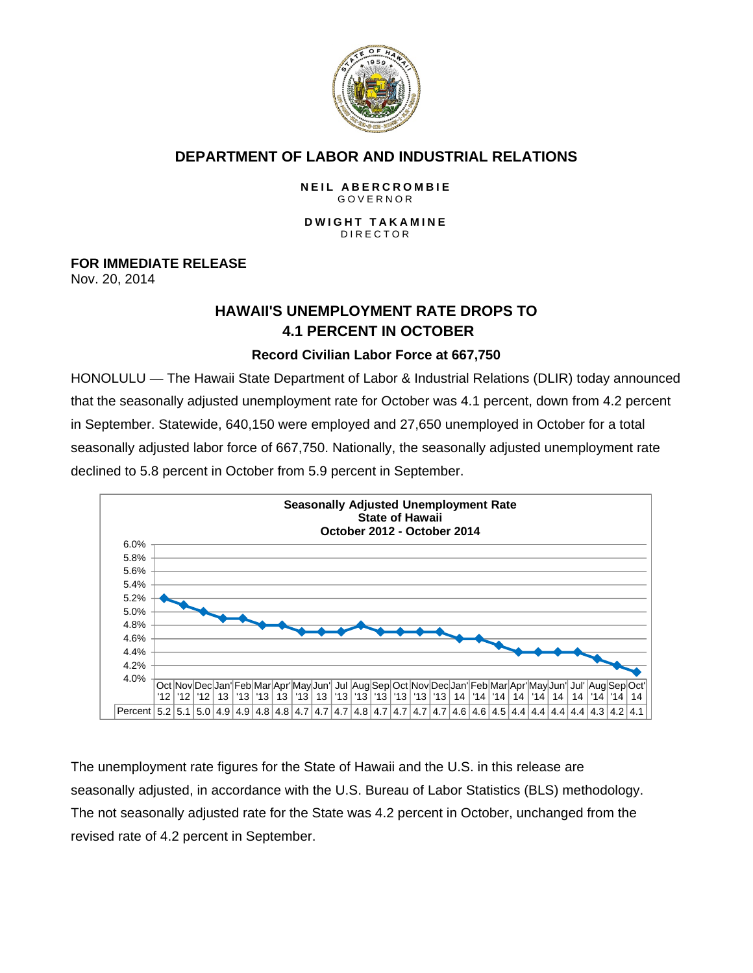

## **DEPARTMENT OF LABOR AND INDUSTRIAL RELATIONS**

#### **NEIL ABERCROMBIE** GOVERNOR

#### **DWIGHT TAKAMINE** DIRECTOR

## **FOR IMMEDIATE RELEASE**

Nov. 20, 2014

# **HAWAII'S UNEMPLOYMENT RATE DROPS TO 4.1 PERCENT IN OCTOBER**

## **Record Civilian Labor Force at 667,750**

HONOLULU — The Hawaii State Department of Labor & Industrial Relations (DLIR) today announced that the seasonally adjusted unemployment rate for October was 4.1 percent, down from 4.2 percent in September. Statewide, 640,150 were employed and 27,650 unemployed in October for a total seasonally adjusted labor force of 667,750. Nationally, the seasonally adjusted unemployment rate declined to 5.8 percent in October from 5.9 percent in September.



The unemployment rate figures for the State of Hawaii and the U.S. in this release are seasonally adjusted, in accordance with the U.S. Bureau of Labor Statistics (BLS) methodology. The not seasonally adjusted rate for the State was 4.2 percent in October, unchanged from the revised rate of 4.2 percent in September.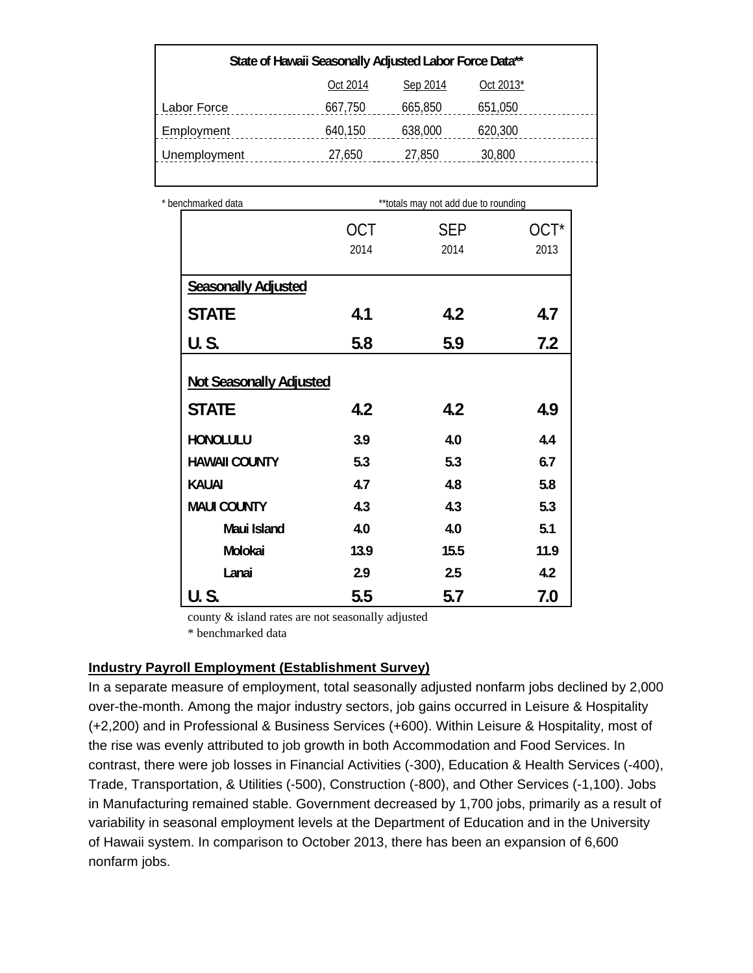| State of Hawaii Seasonally Adjusted Labor Force Data** |          |          |           |  |  |
|--------------------------------------------------------|----------|----------|-----------|--|--|
|                                                        | Oct 2014 | Sep 2014 | Oct 2013* |  |  |
| Labor Force                                            | 667,750  | 665,850  | 651,050   |  |  |
| Employment                                             | 640,150  | 638,000  | 620,300   |  |  |
| Unemployment                                           | 27,650   | 27,850   | 30,800    |  |  |
|                                                        |          |          |           |  |  |

| * benchmarked data             |                    | ** totals may not add due to rounding |              |
|--------------------------------|--------------------|---------------------------------------|--------------|
|                                | <b>OCT</b><br>2014 | <b>SEP</b><br>2014                    | OCT*<br>2013 |
|                                |                    |                                       |              |
| <b>Seasonally Adjusted</b>     |                    |                                       |              |
| <b>STATE</b>                   | 4.1                | 4.2                                   | 4.7          |
| U.S.                           | 5.8                | 5.9                                   | 7.2          |
| <b>Not Seasonally Adjusted</b> |                    |                                       |              |
| <b>STATE</b>                   | 4.2                | 4.2                                   | 4.9          |
| <b>HONOLULU</b>                | 3.9                | 4.0                                   | 4.4          |
| <b>HAWAII COUNTY</b>           | 5.3                | 5.3                                   | 6.7          |
| <b>KAUAI</b>                   | 4.7                | 4.8                                   | 5.8          |
| <b>MAUI COUNTY</b>             | 4.3                | 4.3                                   | 5.3          |
| Maui Island                    | 4.0                | 4.0                                   | 5.1          |
| Molokai                        | 13.9               | 15.5                                  | 11.9         |
| Lanai                          | 2.9                | 2.5                                   | 4.2          |
| U.S.                           | 5.5                | 5.7                                   | 7.0          |

county & island rates are not seasonally adjusted

\* benchmarked data

#### **Industry Payroll Employment (Establishment Survey)**

In a separate measure of employment, total seasonally adjusted nonfarm jobs declined by 2,000 over-the-month. Among the major industry sectors, job gains occurred in Leisure & Hospitality (+2,200) and in Professional & Business Services (+600). Within Leisure & Hospitality, most of the rise was evenly attributed to job growth in both Accommodation and Food Services. In contrast, there were job losses in Financial Activities (-300), Education & Health Services (-400), Trade, Transportation, & Utilities (-500), Construction (-800), and Other Services (-1,100). Jobs in Manufacturing remained stable. Government decreased by 1,700 jobs, primarily as a result of variability in seasonal employment levels at the Department of Education and in the University of Hawaii system. In comparison to October 2013, there has been an expansion of 6,600 nonfarm jobs.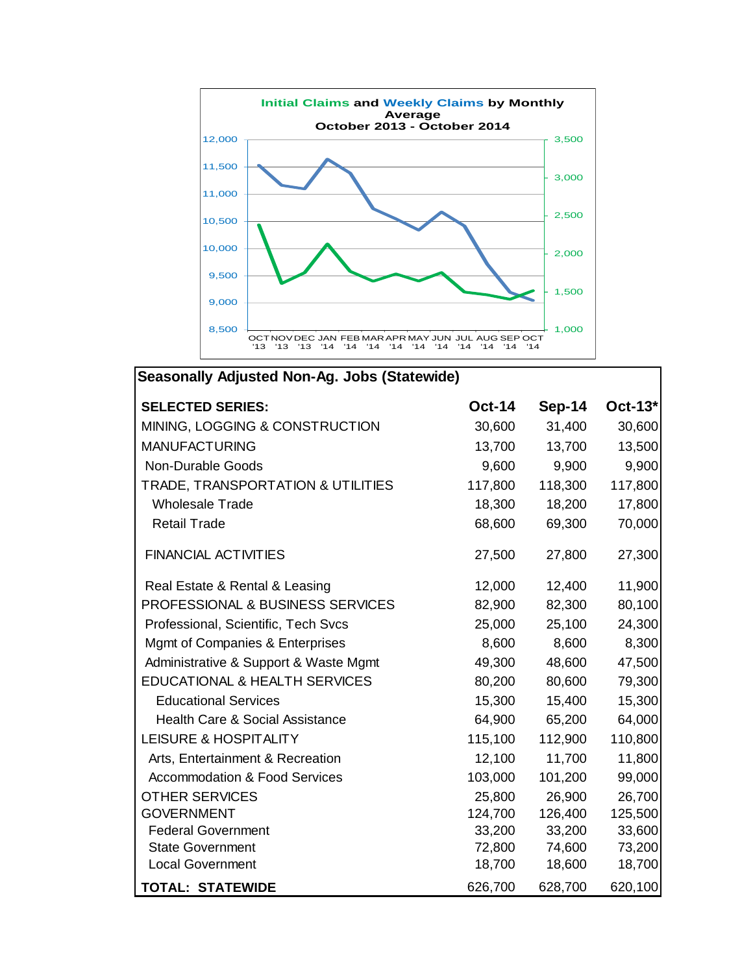

| <b>Seasonally Adjusted Non-Ag. Jobs (Statewide)</b> |               |               |         |  |  |  |
|-----------------------------------------------------|---------------|---------------|---------|--|--|--|
| <b>SELECTED SERIES:</b>                             | <b>Oct-14</b> | <b>Sep-14</b> | Oct-13* |  |  |  |
| MINING, LOGGING & CONSTRUCTION                      | 30,600        | 31,400        | 30,600  |  |  |  |
| <b>MANUFACTURING</b>                                | 13,700        | 13,700        | 13,500  |  |  |  |
| Non-Durable Goods                                   | 9,600         | 9,900         | 9,900   |  |  |  |
| TRADE, TRANSPORTATION & UTILITIES                   | 117,800       | 118,300       | 117,800 |  |  |  |
| <b>Wholesale Trade</b>                              | 18,300        | 18,200        | 17,800  |  |  |  |
| <b>Retail Trade</b>                                 | 68,600        | 69,300        | 70,000  |  |  |  |
| <b>FINANCIAL ACTIVITIES</b>                         | 27,500        | 27,800        | 27,300  |  |  |  |
| Real Estate & Rental & Leasing                      | 12,000        | 12,400        | 11,900  |  |  |  |
| <b>PROFESSIONAL &amp; BUSINESS SERVICES</b>         | 82,900        | 82,300        | 80,100  |  |  |  |
| Professional, Scientific, Tech Svcs                 | 25,000        | 25,100        | 24,300  |  |  |  |
| Mgmt of Companies & Enterprises                     | 8,600         | 8,600         | 8,300   |  |  |  |
| Administrative & Support & Waste Mgmt               | 49,300        | 48,600        | 47,500  |  |  |  |
| <b>EDUCATIONAL &amp; HEALTH SERVICES</b>            | 80,200        | 80,600        | 79,300  |  |  |  |
| <b>Educational Services</b>                         | 15,300        | 15,400        | 15,300  |  |  |  |
| <b>Health Care &amp; Social Assistance</b>          | 64,900        | 65,200        | 64,000  |  |  |  |
| <b>LEISURE &amp; HOSPITALITY</b>                    | 115,100       | 112,900       | 110,800 |  |  |  |
| Arts, Entertainment & Recreation                    | 12,100        | 11,700        | 11,800  |  |  |  |
| <b>Accommodation &amp; Food Services</b>            | 103,000       | 101,200       | 99,000  |  |  |  |
| <b>OTHER SERVICES</b>                               | 25,800        | 26,900        | 26,700  |  |  |  |
| <b>GOVERNMENT</b>                                   | 124,700       | 126,400       | 125,500 |  |  |  |
| <b>Federal Government</b>                           | 33,200        | 33,200        | 33,600  |  |  |  |
| <b>State Government</b>                             | 72,800        | 74,600        | 73,200  |  |  |  |
| <b>Local Government</b>                             | 18,700        | 18,600        | 18,700  |  |  |  |
| <b>TOTAL: STATEWIDE</b>                             | 626,700       | 628,700       | 620,100 |  |  |  |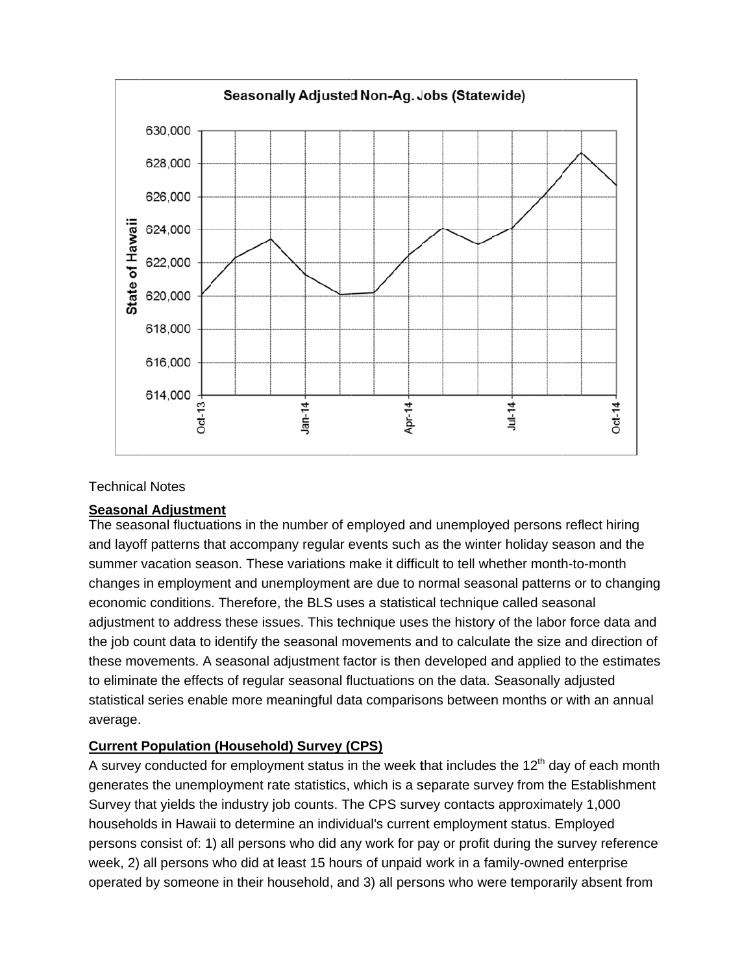

#### **Technical Notes**

#### **Seasonal Adjustment**

The seasonal fluctuations in the number of employed and unemployed persons reflect hiring and layoff patterns that accompany regular events such as the winter holiday season and the summer vacation season. These variations make it difficult to tell whether month-to-month changes in employment and unemployment are due to normal seasonal patterns or to changing economic conditions. Therefore, the BLS uses a statistical technique called seasonal adjustment to address these issues. This technique uses the history of the labor force data and the job count data to identify the seasonal movements and to calculate the size and direction of these movements. A seasonal adjustment factor is then developed and applied to the estimates to eliminate the effects of regular seasonal fluctuations on the data. Seasonally adjusted statistical series enable more meaningful data comparisons between months or with an annual average.

## **Current Population (Household) Survey (CPS)**

A survey conducted for employment status in the week that includes the 12<sup>th</sup> day of each month generates the unemployment rate statistics, which is a separate survey from the Establishment Survey that yields the industry job counts. The CPS survey contacts approximately 1,000 households in Hawaii to determine an individual's current employment status. Employed persons consist of: 1) all persons who did any work for pay or profit during the survey reference week, 2) all persons who did at least 15 hours of unpaid work in a family-owned enterprise operated by someone in their household, and 3) all persons who were temporarily absent from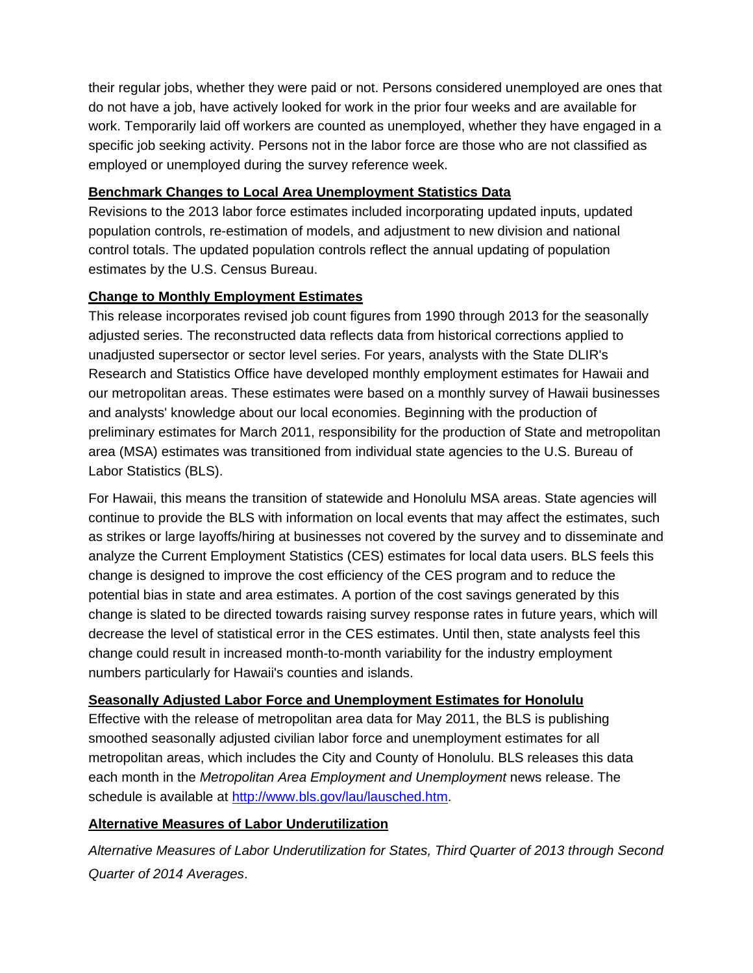their regular jobs, whether they were paid or not. Persons considered unemployed are ones that do not have a job, have actively looked for work in the prior four weeks and are available for work. Temporarily laid off workers are counted as unemployed, whether they have engaged in a specific job seeking activity. Persons not in the labor force are those who are not classified as employed or unemployed during the survey reference week.

## **Benchmark Changes to Local Area Unemployment Statistics Data**

Revisions to the 2013 labor force estimates included incorporating updated inputs, updated population controls, re-estimation of models, and adjustment to new division and national control totals. The updated population controls reflect the annual updating of population estimates by the U.S. Census Bureau.

## **Change to Monthly Employment Estimates**

This release incorporates revised job count figures from 1990 through 2013 for the seasonally adjusted series. The reconstructed data reflects data from historical corrections applied to unadjusted supersector or sector level series. For years, analysts with the State DLIR's Research and Statistics Office have developed monthly employment estimates for Hawaii and our metropolitan areas. These estimates were based on a monthly survey of Hawaii businesses and analysts' knowledge about our local economies. Beginning with the production of preliminary estimates for March 2011, responsibility for the production of State and metropolitan area (MSA) estimates was transitioned from individual state agencies to the U.S. Bureau of Labor Statistics (BLS).

For Hawaii, this means the transition of statewide and Honolulu MSA areas. State agencies will continue to provide the BLS with information on local events that may affect the estimates, such as strikes or large layoffs/hiring at businesses not covered by the survey and to disseminate and analyze the Current Employment Statistics (CES) estimates for local data users. BLS feels this change is designed to improve the cost efficiency of the CES program and to reduce the potential bias in state and area estimates. A portion of the cost savings generated by this change is slated to be directed towards raising survey response rates in future years, which will decrease the level of statistical error in the CES estimates. Until then, state analysts feel this change could result in increased month-to-month variability for the industry employment numbers particularly for Hawaii's counties and islands.

## **Seasonally Adjusted Labor Force and Unemployment Estimates for Honolulu**

Effective with the release of metropolitan area data for May 2011, the BLS is publishing smoothed seasonally adjusted civilian labor force and unemployment estimates for all metropolitan areas, which includes the City and County of Honolulu. BLS releases this data each month in the *Metropolitan Area Employment and Unemployment* news release. The schedule is available at http://www.bls.gov/lau/lausched.htm.

## **Alternative Measures of Labor Underutilization**

*Alternative Measures of Labor Underutilization for States, Third Quarter of 2013 through Second Quarter of 2014 Averages*.